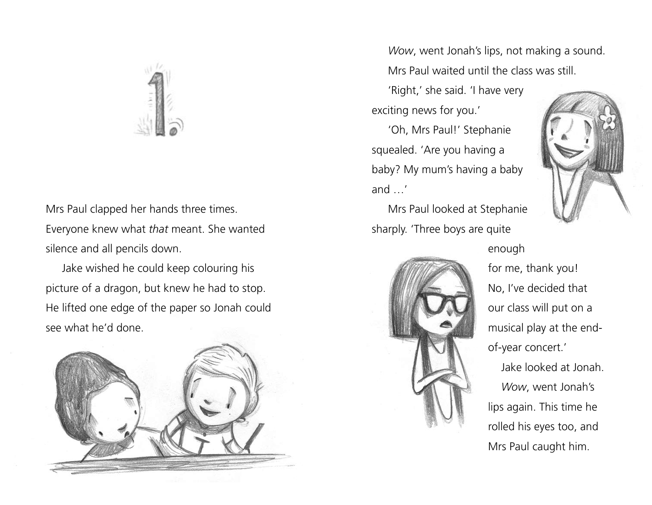

Mrs Paul clapped her hands three times. Everyone knew what *that* meant. She wanted silence and all pencils down.

Jake wished he could keep colouring his picture of a dragon, but knew he had to stop. He lifted one edge of the paper so Jonah could see what he'd done.



*Wow*, went Jonah's lips, not making a sound. Mrs Paul waited until the class was still.

'Right,' she said. 'I have very exciting news for you.'

'Oh, Mrs Paul!' Stephanie squealed. 'Are you having a baby? My mum's having a baby and  $'$ 

Mrs Paul looked at Stephanie sharply. 'Three boys are quite



enough

for me, thank you! No, I've decided that our class will put on a musical play at the endof-year concert.'

Jake looked at Jonah. *Wow*, went Jonah's lips again. This time he rolled his eyes too, and Mrs Paul caught him.

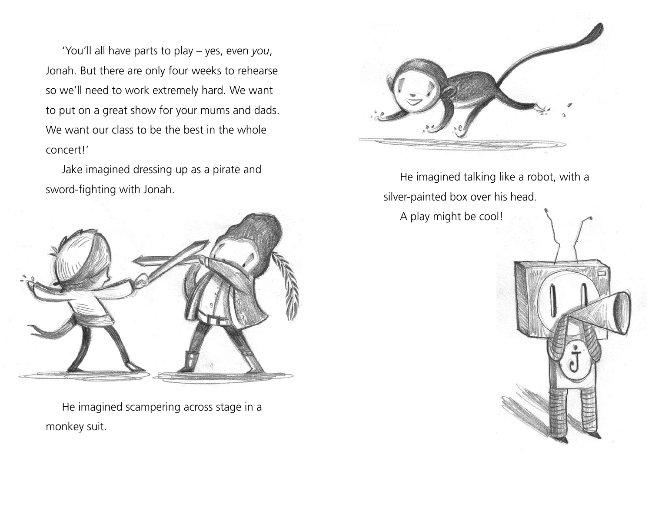'You'll all have parts to play – yes, even *you*, Jonah. But there are only four weeks to rehearse so we'll need to work extremely hard. We want to put on a great show for your mums and dads. We want our class to be the best in the whole concert!'

Jake imagined dressing up as a pirate and sword-fighting with Jonah.



He imagined scampering across stage in a monkey suit.



He imagined talking like a robot, with a silver-painted box over his head. A play might be cool!

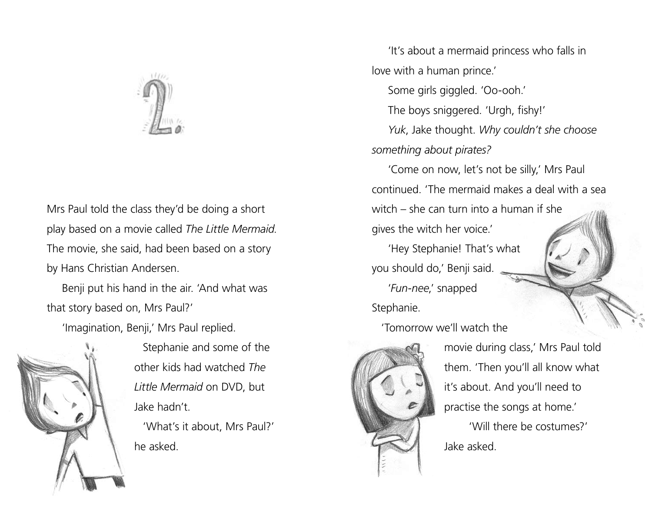

Mrs Paul told the class they'd be doing a short play based on a movie called *The Little Mermaid*. The movie, she said, had been based on a story by Hans Christian Andersen.

Benji put his hand in the air. 'And what was that story based on, Mrs Paul?'

'Imagination, Benji,' Mrs Paul replied.



Stephanie and some of the other kids had watched *The Little Mermaid* on DVD, but Jake hadn't.

'What's it about, Mrs Paul?' he asked.

'It's about a mermaid princess who falls in love with a human prince.'

Some girls giggled. 'Oo-ooh.'

The boys sniggered. 'Urgh, fishy!'

*Yuk*, Jake thought. *Why couldn't she choose something about pirates?*

'Come on now, let's not be silly,' Mrs Paul continued. 'The mermaid makes a deal with a sea witch – she can turn into a human if she gives the witch her voice.'

'Hey Stephanie! That's what you should do,' Benji said. '*Fun-nee*,' snapped

Stephanie.

'Tomorrow we'll watch the



movie during class,' Mrs Paul told them. 'Then you'll all know what it's about. And you'll need to practise the songs at home.' 'Will there be costumes?' Jake asked.